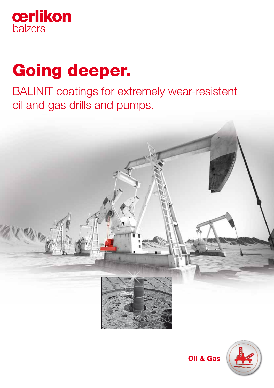

# Going deeper.

BALINIT coatings for extremely wear-resistent oil and gas drills and pumps.